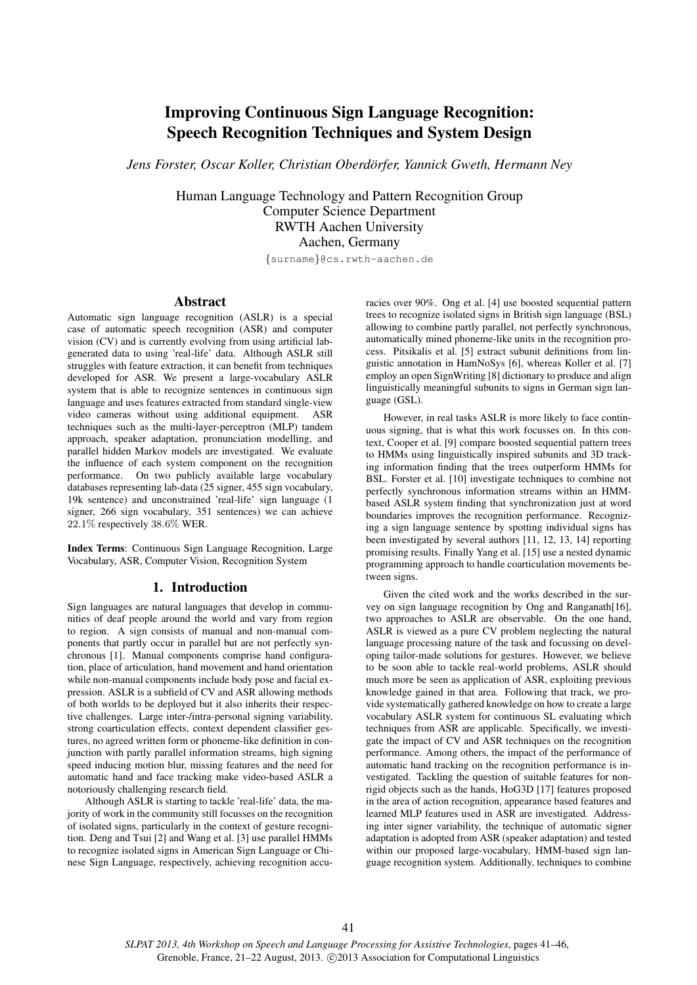# Improving Continuous Sign Language Recognition: Speech Recognition Techniques and System Design

*Jens Forster, Oscar Koller, Christian Oberdorfer, Yannick Gweth, Hermann Ney ¨*

Human Language Technology and Pattern Recognition Group Computer Science Department RWTH Aachen University Aachen, Germany

{surname}@cs.rwth-aachen.de

# Abstract

Automatic sign language recognition (ASLR) is a special case of automatic speech recognition (ASR) and computer vision (CV) and is currently evolving from using artificial labgenerated data to using 'real-life' data. Although ASLR still struggles with feature extraction, it can benefit from techniques developed for ASR. We present a large-vocabulary ASLR system that is able to recognize sentences in continuous sign language and uses features extracted from standard single-view video cameras without using additional equipment. ASR techniques such as the multi-layer-perceptron (MLP) tandem approach, speaker adaptation, pronunciation modelling, and parallel hidden Markov models are investigated. We evaluate the influence of each system component on the recognition performance. On two publicly available large vocabulary databases representing lab-data (25 signer, 455 sign vocabulary, 19k sentence) and unconstrained 'real-life' sign language (1 signer, 266 sign vocabulary, 351 sentences) we can achieve 22.1% respectively 38.6% WER.

Index Terms: Continuous Sign Language Recognition, Large Vocabulary, ASR, Computer Vision, Recognition System

# 1. Introduction

Sign languages are natural languages that develop in communities of deaf people around the world and vary from region to region. A sign consists of manual and non-manual components that partly occur in parallel but are not perfectly synchronous [1]. Manual components comprise hand configuration, place of articulation, hand movement and hand orientation while non-manual components include body pose and facial expression. ASLR is a subfield of CV and ASR allowing methods of both worlds to be deployed but it also inherits their respective challenges. Large inter-/intra-personal signing variability, strong coarticulation effects, context dependent classifier gestures, no agreed written form or phoneme-like definition in conjunction with partly parallel information streams, high signing speed inducing motion blur, missing features and the need for automatic hand and face tracking make video-based ASLR a notoriously challenging research field.

Although ASLR is starting to tackle 'real-life' data, the majority of work in the community still focusses on the recognition of isolated signs, particularly in the context of gesture recognition. Deng and Tsui [2] and Wang et al. [3] use parallel HMMs to recognize isolated signs in American Sign Language or Chinese Sign Language, respectively, achieving recognition accuracies over 90%. Ong et al. [4] use boosted sequential pattern trees to recognize isolated signs in British sign language (BSL) allowing to combine partly parallel, not perfectly synchronous, automatically mined phoneme-like units in the recognition process. Pitsikalis et al. [5] extract subunit definitions from linguistic annotation in HamNoSys [6], whereas Koller et al. [7] employ an open SignWriting [8] dictionary to produce and align linguistically meaningful subunits to signs in German sign language (GSL).

However, in real tasks ASLR is more likely to face continuous signing, that is what this work focusses on. In this context, Cooper et al. [9] compare boosted sequential pattern trees to HMMs using linguistically inspired subunits and 3D tracking information finding that the trees outperform HMMs for BSL. Forster et al. [10] investigate techniques to combine not perfectly synchronous information streams within an HMMbased ASLR system finding that synchronization just at word boundaries improves the recognition performance. Recognizing a sign language sentence by spotting individual signs has been investigated by several authors [11, 12, 13, 14] reporting promising results. Finally Yang et al. [15] use a nested dynamic programming approach to handle coarticulation movements between signs.

Given the cited work and the works described in the survey on sign language recognition by Ong and Ranganath[16], two approaches to ASLR are observable. On the one hand, ASLR is viewed as a pure CV problem neglecting the natural language processing nature of the task and focussing on developing tailor-made solutions for gestures. However, we believe to be soon able to tackle real-world problems, ASLR should much more be seen as application of ASR, exploiting previous knowledge gained in that area. Following that track, we provide systematically gathered knowledge on how to create a large vocabulary ASLR system for continuous SL evaluating which techniques from ASR are applicable. Specifically, we investigate the impact of CV and ASR techniques on the recognition performance. Among others, the impact of the performance of automatic hand tracking on the recognition performance is investigated. Tackling the question of suitable features for nonrigid objects such as the hands, HoG3D [17] features proposed in the area of action recognition, appearance based features and learned MLP features used in ASR are investigated. Addressing inter signer variability, the technique of automatic signer adaptation is adopted from ASR (speaker adaptation) and tested within our proposed large-vocabulary, HMM-based sign language recognition system. Additionally, techniques to combine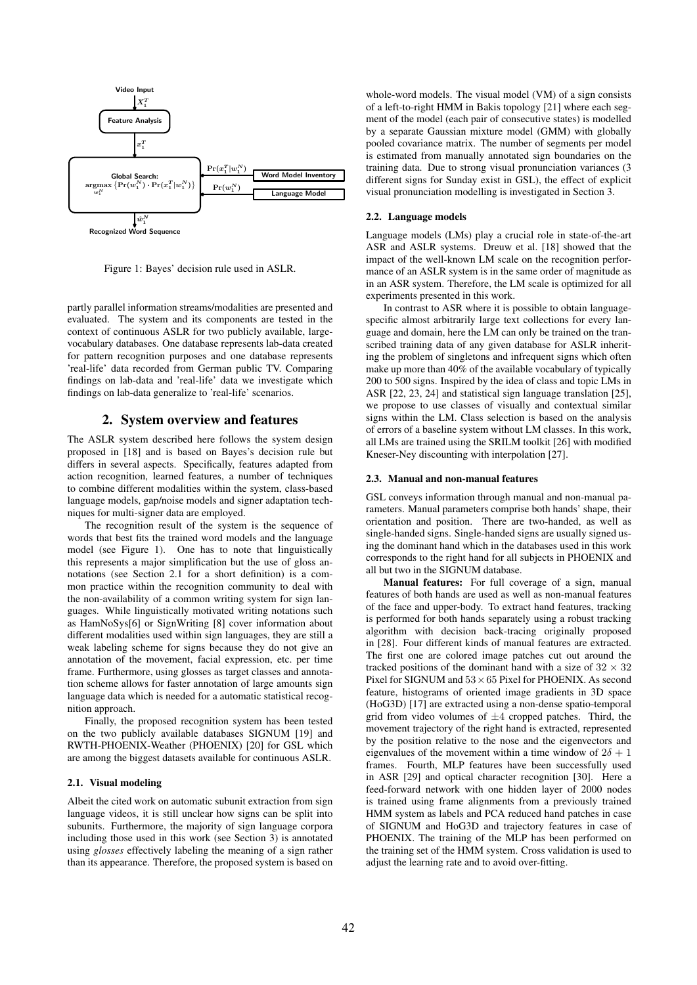

Figure 1: Bayes' decision rule used in ASLR.

partly parallel information streams/modalities are presented and evaluated. The system and its components are tested in the context of continuous ASLR for two publicly available, largevocabulary databases. One database represents lab-data created for pattern recognition purposes and one database represents 'real-life' data recorded from German public TV. Comparing findings on lab-data and 'real-life' data we investigate which findings on lab-data generalize to 'real-life' scenarios.

## 2. System overview and features

The ASLR system described here follows the system design proposed in [18] and is based on Bayes's decision rule but differs in several aspects. Specifically, features adapted from action recognition, learned features, a number of techniques to combine different modalities within the system, class-based language models, gap/noise models and signer adaptation techniques for multi-signer data are employed.

The recognition result of the system is the sequence of words that best fits the trained word models and the language model (see Figure 1). One has to note that linguistically this represents a major simplification but the use of gloss annotations (see Section 2.1 for a short definition) is a common practice within the recognition community to deal with the non-availability of a common writing system for sign languages. While linguistically motivated writing notations such as HamNoSys[6] or SignWriting [8] cover information about different modalities used within sign languages, they are still a weak labeling scheme for signs because they do not give an annotation of the movement, facial expression, etc. per time frame. Furthermore, using glosses as target classes and annotation scheme allows for faster annotation of large amounts sign language data which is needed for a automatic statistical recognition approach.

Finally, the proposed recognition system has been tested on the two publicly available databases SIGNUM [19] and RWTH-PHOENIX-Weather (PHOENIX) [20] for GSL which are among the biggest datasets available for continuous ASLR.

#### 2.1. Visual modeling

Albeit the cited work on automatic subunit extraction from sign language videos, it is still unclear how signs can be split into subunits. Furthermore, the majority of sign language corpora including those used in this work (see Section 3) is annotated using *glosses* effectively labeling the meaning of a sign rather than its appearance. Therefore, the proposed system is based on

whole-word models. The visual model (VM) of a sign consists of a left-to-right HMM in Bakis topology [21] where each segment of the model (each pair of consecutive states) is modelled by a separate Gaussian mixture model (GMM) with globally pooled covariance matrix. The number of segments per model is estimated from manually annotated sign boundaries on the training data. Due to strong visual pronunciation variances (3 different signs for Sunday exist in GSL), the effect of explicit visual pronunciation modelling is investigated in Section 3.

## 2.2. Language models

Language models (LMs) play a crucial role in state-of-the-art ASR and ASLR systems. Dreuw et al. [18] showed that the impact of the well-known LM scale on the recognition performance of an ASLR system is in the same order of magnitude as in an ASR system. Therefore, the LM scale is optimized for all experiments presented in this work.

In contrast to ASR where it is possible to obtain languagespecific almost arbitrarily large text collections for every language and domain, here the LM can only be trained on the transcribed training data of any given database for ASLR inheriting the problem of singletons and infrequent signs which often make up more than 40% of the available vocabulary of typically 200 to 500 signs. Inspired by the idea of class and topic LMs in ASR [22, 23, 24] and statistical sign language translation [25], we propose to use classes of visually and contextual similar signs within the LM. Class selection is based on the analysis of errors of a baseline system without LM classes. In this work, all LMs are trained using the SRILM toolkit [26] with modified Kneser-Ney discounting with interpolation [27].

#### 2.3. Manual and non-manual features

GSL conveys information through manual and non-manual parameters. Manual parameters comprise both hands' shape, their orientation and position. There are two-handed, as well as single-handed signs. Single-handed signs are usually signed using the dominant hand which in the databases used in this work corresponds to the right hand for all subjects in PHOENIX and all but two in the SIGNUM database.

Manual features: For full coverage of a sign, manual features of both hands are used as well as non-manual features of the face and upper-body. To extract hand features, tracking is performed for both hands separately using a robust tracking algorithm with decision back-tracing originally proposed in [28]. Four different kinds of manual features are extracted. The first one are colored image patches cut out around the tracked positions of the dominant hand with a size of  $32 \times 32$ Pixel for SIGNUM and  $53 \times 65$  Pixel for PHOENIX. As second feature, histograms of oriented image gradients in 3D space (HoG3D) [17] are extracted using a non-dense spatio-temporal grid from video volumes of  $\pm 4$  cropped patches. Third, the movement trajectory of the right hand is extracted, represented by the position relative to the nose and the eigenvectors and eigenvalues of the movement within a time window of  $2\delta + 1$ frames. Fourth, MLP features have been successfully used in ASR [29] and optical character recognition [30]. Here a feed-forward network with one hidden layer of 2000 nodes is trained using frame alignments from a previously trained HMM system as labels and PCA reduced hand patches in case of SIGNUM and HoG3D and trajectory features in case of PHOENIX. The training of the MLP has been performed on the training set of the HMM system. Cross validation is used to adjust the learning rate and to avoid over-fitting.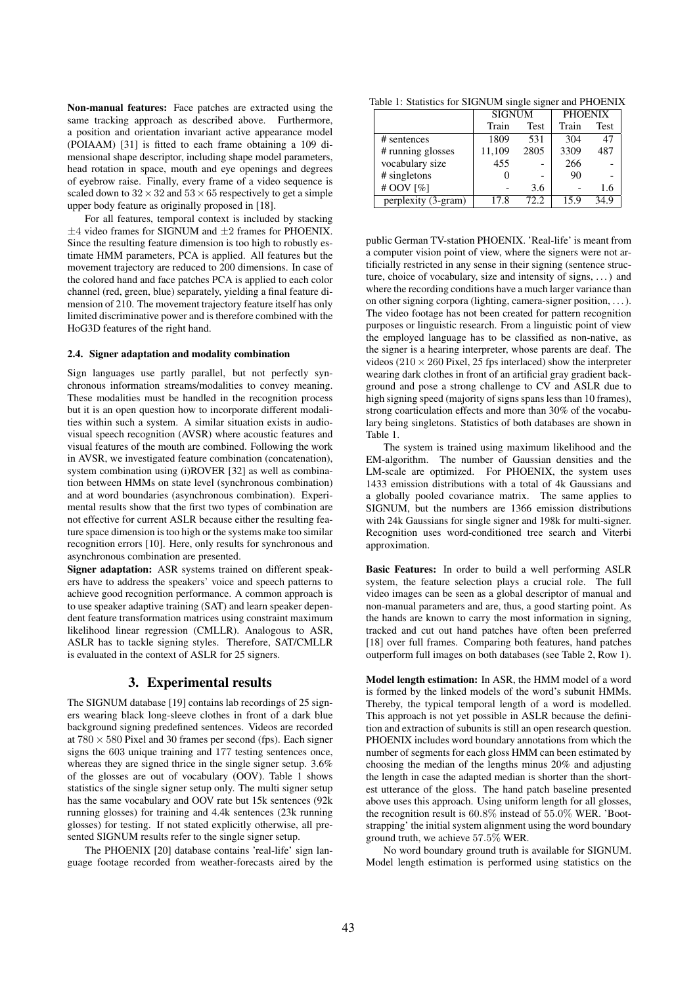Non-manual features: Face patches are extracted using the same tracking approach as described above. Furthermore, a position and orientation invariant active appearance model (POIAAM) [31] is fitted to each frame obtaining a 109 dimensional shape descriptor, including shape model parameters, head rotation in space, mouth and eye openings and degrees of eyebrow raise. Finally, every frame of a video sequence is scaled down to  $32 \times 32$  and  $53 \times 65$  respectively to get a simple upper body feature as originally proposed in [18].

For all features, temporal context is included by stacking  $\pm$ 4 video frames for SIGNUM and  $\pm$ 2 frames for PHOENIX. Since the resulting feature dimension is too high to robustly estimate HMM parameters, PCA is applied. All features but the movement trajectory are reduced to 200 dimensions. In case of the colored hand and face patches PCA is applied to each color channel (red, green, blue) separately, yielding a final feature dimension of 210. The movement trajectory feature itself has only limited discriminative power and is therefore combined with the HoG3D features of the right hand.

#### 2.4. Signer adaptation and modality combination

Sign languages use partly parallel, but not perfectly synchronous information streams/modalities to convey meaning. These modalities must be handled in the recognition process but it is an open question how to incorporate different modalities within such a system. A similar situation exists in audiovisual speech recognition (AVSR) where acoustic features and visual features of the mouth are combined. Following the work in AVSR, we investigated feature combination (concatenation), system combination using (i)ROVER [32] as well as combination between HMMs on state level (synchronous combination) and at word boundaries (asynchronous combination). Experimental results show that the first two types of combination are not effective for current ASLR because either the resulting feature space dimension is too high or the systems make too similar recognition errors [10]. Here, only results for synchronous and asynchronous combination are presented.

Signer adaptation: ASR systems trained on different speakers have to address the speakers' voice and speech patterns to achieve good recognition performance. A common approach is to use speaker adaptive training (SAT) and learn speaker dependent feature transformation matrices using constraint maximum likelihood linear regression (CMLLR). Analogous to ASR, ASLR has to tackle signing styles. Therefore, SAT/CMLLR is evaluated in the context of ASLR for 25 signers.

## 3. Experimental results

The SIGNUM database [19] contains lab recordings of 25 signers wearing black long-sleeve clothes in front of a dark blue background signing predefined sentences. Videos are recorded at  $780 \times 580$  Pixel and 30 frames per second (fps). Each signer signs the 603 unique training and 177 testing sentences once, whereas they are signed thrice in the single signer setup. 3.6% of the glosses are out of vocabulary (OOV). Table 1 shows statistics of the single signer setup only. The multi signer setup has the same vocabulary and OOV rate but 15k sentences (92k running glosses) for training and 4.4k sentences (23k running glosses) for testing. If not stated explicitly otherwise, all presented SIGNUM results refer to the single signer setup.

The PHOENIX [20] database contains 'real-life' sign language footage recorded from weather-forecasts aired by the

Table 1: Statistics for SIGNUM single signer and PHOENIX

|                     | <b>SIGNUM</b> |             | <b>PHOENIX</b> |             |  |
|---------------------|---------------|-------------|----------------|-------------|--|
|                     | Train         | <b>Test</b> | Train          | <b>Test</b> |  |
| # sentences         | 1809          | 531         | 304            | 47          |  |
| # running glosses   | 11,109        | 2805        | 3309           | 487         |  |
| vocabulary size     | 455           |             | 266            |             |  |
| # singletons        |               |             | 90             |             |  |
| # OOV [%]           |               | 3.6         |                | 1.6         |  |
| perplexity (3-gram) | 17.8          | 72.2.       | 15.9           | 34.9        |  |

public German TV-station PHOENIX. 'Real-life' is meant from a computer vision point of view, where the signers were not artificially restricted in any sense in their signing (sentence structure, choice of vocabulary, size and intensity of signs, . . . ) and where the recording conditions have a much larger variance than on other signing corpora (lighting, camera-signer position, . . . ). The video footage has not been created for pattern recognition purposes or linguistic research. From a linguistic point of view the employed language has to be classified as non-native, as the signer is a hearing interpreter, whose parents are deaf. The videos ( $210 \times 260$  Pixel, 25 fps interlaced) show the interpreter wearing dark clothes in front of an artificial gray gradient background and pose a strong challenge to CV and ASLR due to high signing speed (majority of signs spans less than 10 frames), strong coarticulation effects and more than 30% of the vocabulary being singletons. Statistics of both databases are shown in Table 1.

The system is trained using maximum likelihood and the EM-algorithm. The number of Gaussian densities and the LM-scale are optimized. For PHOENIX, the system uses 1433 emission distributions with a total of 4k Gaussians and a globally pooled covariance matrix. The same applies to SIGNUM, but the numbers are 1366 emission distributions with 24k Gaussians for single signer and 198k for multi-signer. Recognition uses word-conditioned tree search and Viterbi approximation.

Basic Features: In order to build a well performing ASLR system, the feature selection plays a crucial role. The full video images can be seen as a global descriptor of manual and non-manual parameters and are, thus, a good starting point. As the hands are known to carry the most information in signing, tracked and cut out hand patches have often been preferred [18] over full frames. Comparing both features, hand patches outperform full images on both databases (see Table 2, Row 1).

Model length estimation: In ASR, the HMM model of a word is formed by the linked models of the word's subunit HMMs. Thereby, the typical temporal length of a word is modelled. This approach is not yet possible in ASLR because the definition and extraction of subunits is still an open research question. PHOENIX includes word boundary annotations from which the number of segments for each gloss HMM can been estimated by choosing the median of the lengths minus 20% and adjusting the length in case the adapted median is shorter than the shortest utterance of the gloss. The hand patch baseline presented above uses this approach. Using uniform length for all glosses, the recognition result is 60.8% instead of 55.0% WER. 'Bootstrapping' the initial system alignment using the word boundary ground truth, we achieve 57.5% WER.

No word boundary ground truth is available for SIGNUM. Model length estimation is performed using statistics on the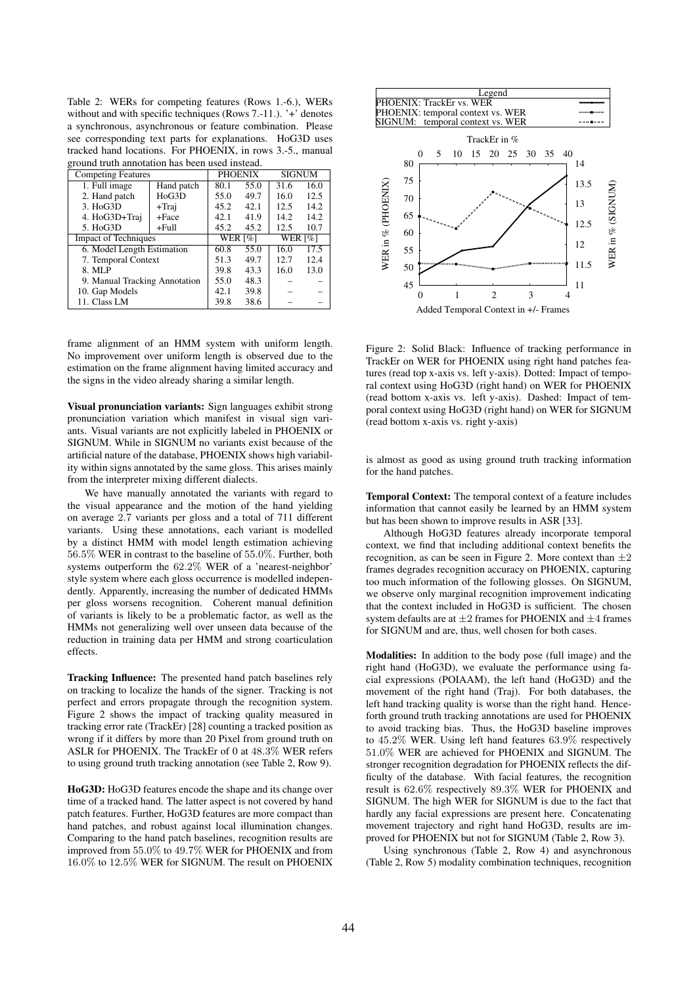Table 2: WERs for competing features (Rows 1.-6.), WERs without and with specific techniques (Rows 7.-11.). '+' denotes a synchronous, asynchronous or feature combination. Please see corresponding text parts for explanations. HoG3D uses tracked hand locations. For PHOENIX, in rows 3.-5., manual ground truth annotation has been used instead.

| <b>Competing Features</b>          |            | <b>PHOENIX</b> |      | <b>SIGNUM</b>  |      |
|------------------------------------|------------|----------------|------|----------------|------|
| 1. Full image                      | Hand patch | 80.1           | 55.0 | 31.6           | 16.0 |
| 2. Hand patch                      | HoG3D      | 55.0           | 49.7 | 16.0           | 12.5 |
| 3. HoG3D                           | $+$ Traj   | 45.2           | 42.1 | 12.5           | 14.2 |
| 4. HoG3D+Traj                      | +Face      | 42.1           | 41.9 | 14.2           | 14.2 |
| 5. H <sub>o</sub> G <sub>3</sub> D | $+Full$    | 45.2           | 45.2 | 12.5           | 10.7 |
| <b>Impact of Techniques</b>        |            | <b>WER</b> [%] |      | <b>WER</b> [%] |      |
| 6. Model Length Estimation         |            | 60.8           | 55.0 | 16.0           | 17.5 |
| 7. Temporal Context                |            | 51.3           | 49.7 | 12.7           | 12.4 |
| 8. MLP                             |            | 39.8           | 43.3 | 16.0           | 13.0 |
| 9. Manual Tracking Annotation      |            | 55.0           | 48.3 |                |      |
| 10. Gap Models                     |            | 42.1           | 39.8 |                |      |
| 11. Class LM                       |            | 39.8           | 38.6 |                |      |

frame alignment of an HMM system with uniform length. No improvement over uniform length is observed due to the estimation on the frame alignment having limited accuracy and the signs in the video already sharing a similar length.

Visual pronunciation variants: Sign languages exhibit strong pronunciation variation which manifest in visual sign variants. Visual variants are not explicitly labeled in PHOENIX or SIGNUM. While in SIGNUM no variants exist because of the artificial nature of the database, PHOENIX shows high variability within signs annotated by the same gloss. This arises mainly from the interpreter mixing different dialects.

We have manually annotated the variants with regard to the visual appearance and the motion of the hand yielding on average 2.7 variants per gloss and a total of 711 different variants. Using these annotations, each variant is modelled by a distinct HMM with model length estimation achieving 56.5% WER in contrast to the baseline of 55.0%. Further, both systems outperform the 62.2% WER of a 'nearest-neighbor' style system where each gloss occurrence is modelled independently. Apparently, increasing the number of dedicated HMMs per gloss worsens recognition. Coherent manual definition of variants is likely to be a problematic factor, as well as the HMMs not generalizing well over unseen data because of the reduction in training data per HMM and strong coarticulation effects.

Tracking Influence: The presented hand patch baselines rely on tracking to localize the hands of the signer. Tracking is not perfect and errors propagate through the recognition system. Figure 2 shows the impact of tracking quality measured in tracking error rate (TrackEr) [28] counting a tracked position as wrong if it differs by more than 20 Pixel from ground truth on ASLR for PHOENIX. The TrackEr of 0 at 48.3% WER refers to using ground truth tracking annotation (see Table 2, Row 9).

HoG3D: HoG3D features encode the shape and its change over time of a tracked hand. The latter aspect is not covered by hand patch features. Further, HoG3D features are more compact than hand patches, and robust against local illumination changes. Comparing to the hand patch baselines, recognition results are improved from 55.0% to 49.7% WER for PHOENIX and from 16.0% to 12.5% WER for SIGNUM. The result on PHOENIX



Figure 2: Solid Black: Influence of tracking performance in TrackEr on WER for PHOENIX using right hand patches features (read top x-axis vs. left y-axis). Dotted: Impact of temporal context using HoG3D (right hand) on WER for PHOENIX (read bottom x-axis vs. left y-axis). Dashed: Impact of temporal context using HoG3D (right hand) on WER for SIGNUM (read bottom x-axis vs. right y-axis)

is almost as good as using ground truth tracking information for the hand patches.

Temporal Context: The temporal context of a feature includes information that cannot easily be learned by an HMM system but has been shown to improve results in ASR [33].

Although HoG3D features already incorporate temporal context, we find that including additional context benefits the recognition, as can be seen in Figure 2. More context than  $\pm 2$ frames degrades recognition accuracy on PHOENIX, capturing too much information of the following glosses. On SIGNUM, we observe only marginal recognition improvement indicating that the context included in HoG3D is sufficient. The chosen system defaults are at  $\pm 2$  frames for PHOENIX and  $\pm 4$  frames for SIGNUM and are, thus, well chosen for both cases.

Modalities: In addition to the body pose (full image) and the right hand (HoG3D), we evaluate the performance using facial expressions (POIAAM), the left hand (HoG3D) and the movement of the right hand (Traj). For both databases, the left hand tracking quality is worse than the right hand. Henceforth ground truth tracking annotations are used for PHOENIX to avoid tracking bias. Thus, the HoG3D baseline improves to 45.2% WER. Using left hand features 63.9% respectively 51.0% WER are achieved for PHOENIX and SIGNUM. The stronger recognition degradation for PHOENIX reflects the difficulty of the database. With facial features, the recognition result is 62.6% respectively 89.3% WER for PHOENIX and SIGNUM. The high WER for SIGNUM is due to the fact that hardly any facial expressions are present here. Concatenating movement trajectory and right hand HoG3D, results are improved for PHOENIX but not for SIGNUM (Table 2, Row 3).

Using synchronous (Table 2, Row 4) and asynchronous (Table 2, Row 5) modality combination techniques, recognition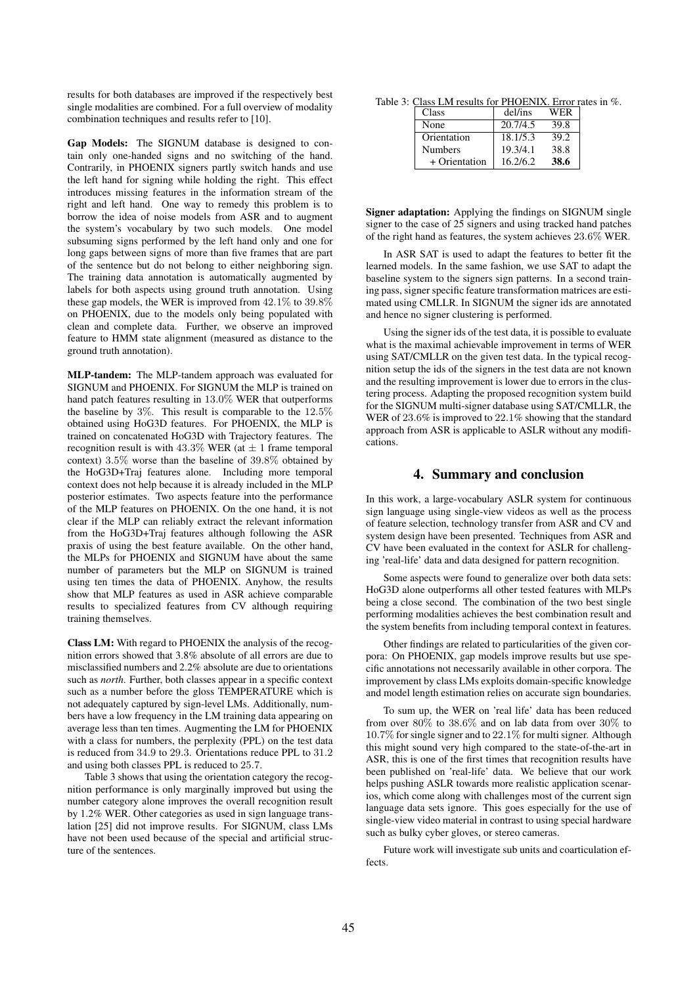results for both databases are improved if the respectively best single modalities are combined. For a full overview of modality combination techniques and results refer to [10].

Gap Models: The SIGNUM database is designed to contain only one-handed signs and no switching of the hand. Contrarily, in PHOENIX signers partly switch hands and use the left hand for signing while holding the right. This effect introduces missing features in the information stream of the right and left hand. One way to remedy this problem is to borrow the idea of noise models from ASR and to augment the system's vocabulary by two such models. One model subsuming signs performed by the left hand only and one for long gaps between signs of more than five frames that are part of the sentence but do not belong to either neighboring sign. The training data annotation is automatically augmented by labels for both aspects using ground truth annotation. Using these gap models, the WER is improved from 42.1% to 39.8% on PHOENIX, due to the models only being populated with clean and complete data. Further, we observe an improved feature to HMM state alignment (measured as distance to the ground truth annotation).

MLP-tandem: The MLP-tandem approach was evaluated for SIGNUM and PHOENIX. For SIGNUM the MLP is trained on hand patch features resulting in 13.0% WER that outperforms the baseline by 3%. This result is comparable to the 12.5% obtained using HoG3D features. For PHOENIX, the MLP is trained on concatenated HoG3D with Trajectory features. The recognition result is with  $43.3\%$  WER (at  $\pm$  1 frame temporal context) 3.5% worse than the baseline of 39.8% obtained by the HoG3D+Traj features alone. Including more temporal context does not help because it is already included in the MLP posterior estimates. Two aspects feature into the performance of the MLP features on PHOENIX. On the one hand, it is not clear if the MLP can reliably extract the relevant information from the HoG3D+Traj features although following the ASR praxis of using the best feature available. On the other hand, the MLPs for PHOENIX and SIGNUM have about the same number of parameters but the MLP on SIGNUM is trained using ten times the data of PHOENIX. Anyhow, the results show that MLP features as used in ASR achieve comparable results to specialized features from CV although requiring training themselves.

Class LM: With regard to PHOENIX the analysis of the recognition errors showed that 3.8% absolute of all errors are due to misclassified numbers and 2.2% absolute are due to orientations such as *north*. Further, both classes appear in a specific context such as a number before the gloss TEMPERATURE which is not adequately captured by sign-level LMs. Additionally, numbers have a low frequency in the LM training data appearing on average less than ten times. Augmenting the LM for PHOENIX with a class for numbers, the perplexity (PPL) on the test data is reduced from 34.9 to 29.3. Orientations reduce PPL to 31.2 and using both classes PPL is reduced to 25.7.

Table 3 shows that using the orientation category the recognition performance is only marginally improved but using the number category alone improves the overall recognition result by 1.2% WER. Other categories as used in sign language translation [25] did not improve results. For SIGNUM, class LMs have not been used because of the special and artificial structure of the sentences.

Table 3: Class LM results for PHOENIX. Error rates in %.

| Class          | del/ins  | WER  |
|----------------|----------|------|
| None           | 20.7/4.5 | 39.8 |
| Orientation    | 18.1/5.3 | 39.2 |
| <b>Numbers</b> | 19.3/4.1 | 38.8 |
| + Orientation  | 16.2/6.2 | 38.6 |

Signer adaptation: Applying the findings on SIGNUM single signer to the case of 25 signers and using tracked hand patches of the right hand as features, the system achieves 23.6% WER.

In ASR SAT is used to adapt the features to better fit the learned models. In the same fashion, we use SAT to adapt the baseline system to the signers sign patterns. In a second training pass, signer specific feature transformation matrices are estimated using CMLLR. In SIGNUM the signer ids are annotated and hence no signer clustering is performed.

Using the signer ids of the test data, it is possible to evaluate what is the maximal achievable improvement in terms of WER using SAT/CMLLR on the given test data. In the typical recognition setup the ids of the signers in the test data are not known and the resulting improvement is lower due to errors in the clustering process. Adapting the proposed recognition system build for the SIGNUM multi-signer database using SAT/CMLLR, the WER of 23.6% is improved to 22.1% showing that the standard approach from ASR is applicable to ASLR without any modifications.

## 4. Summary and conclusion

In this work, a large-vocabulary ASLR system for continuous sign language using single-view videos as well as the process of feature selection, technology transfer from ASR and CV and system design have been presented. Techniques from ASR and CV have been evaluated in the context for ASLR for challenging 'real-life' data and data designed for pattern recognition.

Some aspects were found to generalize over both data sets: HoG3D alone outperforms all other tested features with MLPs being a close second. The combination of the two best single performing modalities achieves the best combination result and the system benefits from including temporal context in features.

Other findings are related to particularities of the given corpora: On PHOENIX, gap models improve results but use specific annotations not necessarily available in other corpora. The improvement by class LMs exploits domain-specific knowledge and model length estimation relies on accurate sign boundaries.

To sum up, the WER on 'real life' data has been reduced from over  $80\%$  to  $38.6\%$  and on lab data from over  $30\%$  to 10.7% for single signer and to 22.1% for multi signer. Although this might sound very high compared to the state-of-the-art in ASR, this is one of the first times that recognition results have been published on 'real-life' data. We believe that our work helps pushing ASLR towards more realistic application scenarios, which come along with challenges most of the current sign language data sets ignore. This goes especially for the use of single-view video material in contrast to using special hardware such as bulky cyber gloves, or stereo cameras.

Future work will investigate sub units and coarticulation effects.